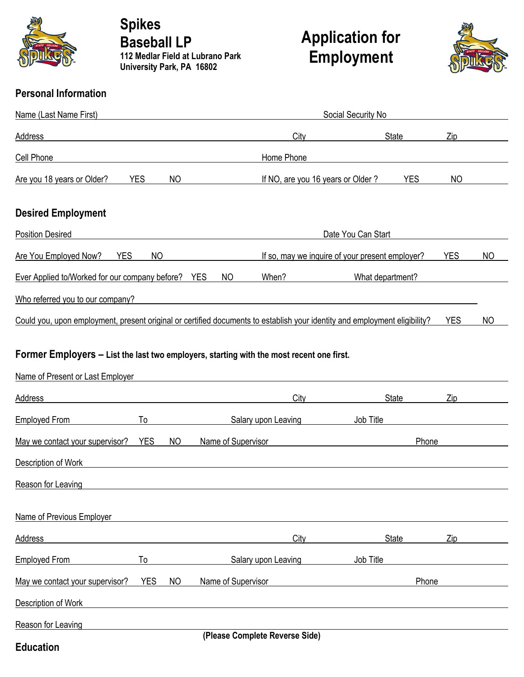

**Spikes Baseball LP 112 Medlar Field at Lubrano Park University Park, PA 16802**

## **Application for Employment**



## **Personal Information**

| Name (Last Name First)                                                                                                                                                                                                                           | <b>Social Security No</b>                       |                  |            |           |
|--------------------------------------------------------------------------------------------------------------------------------------------------------------------------------------------------------------------------------------------------|-------------------------------------------------|------------------|------------|-----------|
| <b>Address</b>                                                                                                                                                                                                                                   | City                                            | State            | Zip        |           |
| Cell Phone                                                                                                                                                                                                                                       | Home Phone                                      |                  |            |           |
| <b>YES</b><br>Are you 18 years or Older?<br>NO                                                                                                                                                                                                   | If NO, are you 16 years or Older?               | <b>YES</b>       | NO         |           |
| <b>Desired Employment</b>                                                                                                                                                                                                                        |                                                 |                  |            |           |
| <b>Position Desired</b>                                                                                                                                                                                                                          | Date You Can Start                              |                  |            |           |
| YES<br>NO<br>Are You Employed Now?                                                                                                                                                                                                               | If so, may we inquire of your present employer? |                  | <b>YES</b> | ΝO        |
| Ever Applied to/Worked for our company before? YES<br>N <sub>O</sub>                                                                                                                                                                             | When?                                           | What department? |            |           |
| Who referred you to our company?                                                                                                                                                                                                                 |                                                 |                  |            |           |
| Could you, upon employment, present original or certified documents to establish your identity and employment eligibility?                                                                                                                       |                                                 |                  | <b>YES</b> | <b>NO</b> |
| $\Gamma$ awaay $\Gamma$ waa $\Gamma$ ayaa $\sim$ 1540 - 1540 - 1550 - 1550 - 1550 - 1550 - 1550 - 1550 - 1550 - 1550 - 1550 - 1550 - 1550 - 1550 - 1550 - 1550 - 1550 - 1550 - 1550 - 1550 - 1550 - 1550 - 1550 - 1550 - 1550 - 1550 - 1550 - 15 |                                                 |                  |            |           |

## **Former Employers – List the last two employers, starting with the most recent one first.**

| Name of Present or Last Employer |            |           |                                |           |       |  |
|----------------------------------|------------|-----------|--------------------------------|-----------|-------|--|
| <b>Address</b>                   |            |           | City                           | State     | Zip   |  |
| <b>Employed From</b>             | To         |           | Salary upon Leaving            | Job Title |       |  |
| May we contact your supervisor?  | <b>YES</b> | <b>NO</b> | Name of Supervisor             |           | Phone |  |
| Description of Work              |            |           |                                |           |       |  |
| Reason for Leaving               |            |           |                                |           |       |  |
| Name of Previous Employer        |            |           |                                |           |       |  |
| <b>Address</b>                   |            |           | City                           | State     | Zip   |  |
| <b>Employed From</b>             | To         |           | Salary upon Leaving            | Job Title |       |  |
| May we contact your supervisor?  | <b>YES</b> | <b>NO</b> | Name of Supervisor             |           | Phone |  |
| Description of Work              |            |           |                                |           |       |  |
| Reason for Leaving               |            |           |                                |           |       |  |
| <b>Education</b>                 |            |           | (Please Complete Reverse Side) |           |       |  |